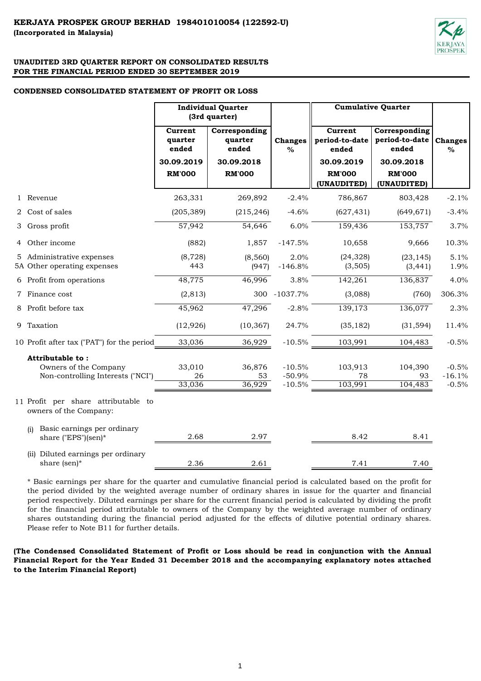

#### **CONDENSED CONSOLIDATED STATEMENT OF PROFIT OR LOSS**

|                                                                                | <b>Individual Quarter</b><br>(3rd quarter)                 |                                                                  |                                  | <b>Cumulative Quarter</b>                                                        |                                                                                        |                                |
|--------------------------------------------------------------------------------|------------------------------------------------------------|------------------------------------------------------------------|----------------------------------|----------------------------------------------------------------------------------|----------------------------------------------------------------------------------------|--------------------------------|
|                                                                                | Current<br>quarter<br>ended<br>30.09.2019<br><b>RM'000</b> | Corresponding<br>quarter<br>ended<br>30.09.2018<br><b>RM'000</b> | <b>Changes</b><br>$\%$           | Current<br>period-to-date<br>ended<br>30.09.2019<br><b>RM'000</b><br>(UNAUDITED) | Corresponding<br>period-to-date<br>ended<br>30.09.2018<br><b>RM'000</b><br>(UNAUDITED) | <b>Changes</b><br>$\%$         |
| 1 Revenue                                                                      | 263,331                                                    | 269,892                                                          | $-2.4%$                          | 786,867                                                                          | 803,428                                                                                | $-2.1%$                        |
| 2 Cost of sales                                                                | (205, 389)                                                 | (215, 246)                                                       | $-4.6%$                          | (627, 431)                                                                       | (649, 671)                                                                             | $-3.4%$                        |
| 3 Gross profit                                                                 | 57,942                                                     | 54,646                                                           | 6.0%                             | 159,436                                                                          | 153,757                                                                                | 3.7%                           |
| 4 Other income                                                                 | (882)                                                      | 1,857                                                            | $-147.5%$                        | 10,658                                                                           | 9,666                                                                                  | 10.3%                          |
| 5 Administrative expenses<br>5A Other operating expenses                       | (8, 728)<br>443                                            | (8,560)<br>(947)                                                 | 2.0%<br>$-146.8%$                | (24, 328)<br>(3,505)                                                             | (23, 145)<br>(3, 441)                                                                  | 5.1%<br>1.9%                   |
| 6 Profit from operations                                                       | 48,775                                                     | 46,996                                                           | 3.8%                             | 142,261                                                                          | 136,837                                                                                | 4.0%                           |
| 7 Finance cost                                                                 | (2, 813)                                                   |                                                                  | 300 -1037.7%                     | (3,088)                                                                          | (760)                                                                                  | 306.3%                         |
| 8 Profit before tax                                                            | 45,962                                                     | 47,296                                                           | $-2.8%$                          | 139,173                                                                          | 136,077                                                                                | 2.3%                           |
| 9 Taxation                                                                     | (12, 926)                                                  | (10, 367)                                                        | 24.7%                            | (35, 182)                                                                        | (31, 594)                                                                              | 11.4%                          |
| 10 Profit after tax ("PAT") for the period                                     | 33,036                                                     | 36,929                                                           | $-10.5%$                         | 103,991                                                                          | 104,483                                                                                | $-0.5%$                        |
| Attributable to:<br>Owners of the Company<br>Non-controlling Interests ("NCI") | 33,010<br>26<br>33,036                                     | 36,876<br>53<br>36,929                                           | $-10.5%$<br>$-50.9%$<br>$-10.5%$ | 103,913<br>78<br>103,991                                                         | 104,390<br>93<br>104,483                                                               | $-0.5%$<br>$-16.1%$<br>$-0.5%$ |
| 11 Profit per share attributable to<br>owners of the Company:                  |                                                            |                                                                  |                                  |                                                                                  |                                                                                        |                                |
| Basic earnings per ordinary<br>(i)<br>share ("EPS")(sen)*                      | 2.68                                                       | 2.97                                                             |                                  | 8.42                                                                             | 8.41                                                                                   |                                |
| (ii) Diluted earnings per ordinary<br>share (sen)*                             | 2.36                                                       | 2.61                                                             |                                  | 7.41                                                                             | 7.40                                                                                   |                                |

\* Basic earnings per share for the quarter and cumulative financial period is calculated based on the profit for the period divided by the weighted average number of ordinary shares in issue for the quarter and financial period respectively. Diluted earnings per share for the current financial period is calculated by dividing the profit for the financial period attributable to owners of the Company by the weighted average number of ordinary shares outstanding during the financial period adjusted for the effects of dilutive potential ordinary shares. Please refer to Note B11 for further details.

**(The Condensed Consolidated Statement of Profit or Loss should be read in conjunction with the Annual Financial Report for the Year Ended 31 December 2018 and the accompanying explanatory notes attached to the Interim Financial Report)**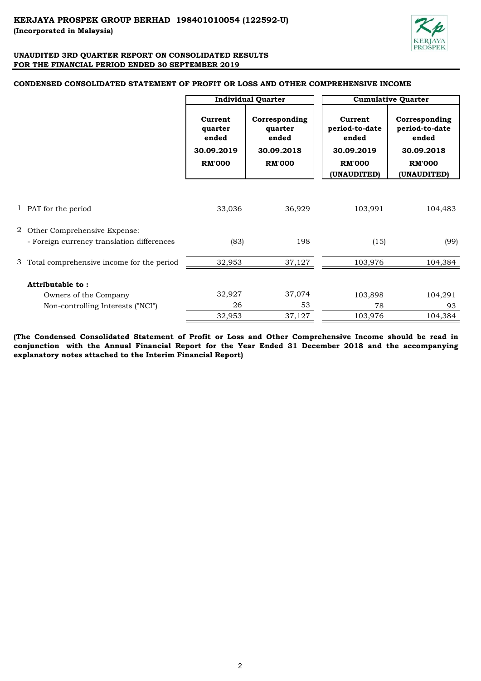

# **CONDENSED CONSOLIDATED STATEMENT OF PROFIT OR LOSS AND OTHER COMPREHENSIVE INCOME**

|                                             |                                                            | <b>Individual Quarter</b>                                        | <b>Cumulative Quarter</b>                                                        |                                                                                        |  |  |
|---------------------------------------------|------------------------------------------------------------|------------------------------------------------------------------|----------------------------------------------------------------------------------|----------------------------------------------------------------------------------------|--|--|
|                                             | Current<br>quarter<br>ended<br>30.09.2019<br><b>RM'000</b> | Corresponding<br>quarter<br>ended<br>30.09.2018<br><b>RM'000</b> | Current<br>period-to-date<br>ended<br>30.09.2019<br><b>RM'000</b><br>(UNAUDITED) | Corresponding<br>period-to-date<br>ended<br>30.09.2018<br><b>RM'000</b><br>(UNAUDITED) |  |  |
|                                             |                                                            |                                                                  |                                                                                  |                                                                                        |  |  |
| 1 PAT for the period                        | 33,036                                                     | 36,929                                                           | 103,991                                                                          | 104,483                                                                                |  |  |
|                                             |                                                            |                                                                  |                                                                                  |                                                                                        |  |  |
| 2 Other Comprehensive Expense:              |                                                            |                                                                  |                                                                                  |                                                                                        |  |  |
| - Foreign currency translation differences  | (83)                                                       | 198                                                              | (15)                                                                             | (99)                                                                                   |  |  |
| 3 Total comprehensive income for the period | 32,953                                                     | 37,127                                                           | 103,976                                                                          | 104,384                                                                                |  |  |
| Attributable to:                            |                                                            |                                                                  |                                                                                  |                                                                                        |  |  |
| Owners of the Company                       | 32,927                                                     | 37,074                                                           | 103,898                                                                          | 104,291                                                                                |  |  |
| Non-controlling Interests ("NCI")           | 26                                                         | 53                                                               | 78                                                                               | 93                                                                                     |  |  |
|                                             | 32,953                                                     | 37,127                                                           | 103,976                                                                          | 104,384                                                                                |  |  |

**(The Condensed Consolidated Statement of Profit or Loss and Other Comprehensive Income should be read in conjunction with the Annual Financial Report for the Year Ended 31 December 2018 and the accompanying explanatory notes attached to the Interim Financial Report)**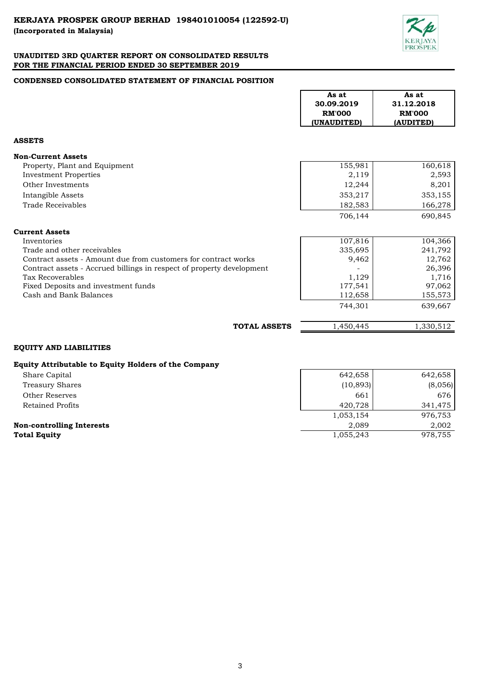

# **CONDENSED CONSOLIDATED STATEMENT OF FINANCIAL POSITION**

|                                                                       | As at<br>30.09.2019<br><b>RM'000</b><br>(UNAUDITED) | As at<br>31.12.2018<br><b>RM'000</b><br>(AUDITED) |
|-----------------------------------------------------------------------|-----------------------------------------------------|---------------------------------------------------|
| <b>ASSETS</b>                                                         |                                                     |                                                   |
| <b>Non-Current Assets</b>                                             |                                                     |                                                   |
| Property, Plant and Equipment                                         | 155,981                                             | 160,618                                           |
| <b>Investment Properties</b>                                          | 2,119                                               | 2,593                                             |
| Other Investments                                                     | 12,244                                              | 8,201                                             |
| Intangible Assets                                                     | 353,217                                             | 353,155                                           |
| Trade Receivables                                                     | 182,583                                             | 166,278                                           |
|                                                                       | 706,144                                             | 690,845                                           |
| <b>Current Assets</b>                                                 |                                                     |                                                   |
| Inventories                                                           | 107,816                                             | 104,366                                           |
| Trade and other receivables                                           | 335,695                                             | 241,792                                           |
| Contract assets - Amount due from customers for contract works        | 9,462                                               | 12,762                                            |
| Contract assets - Accrued billings in respect of property development |                                                     | 26,396                                            |
| <b>Tax Recoverables</b>                                               | 1,129                                               | 1,716                                             |
| Fixed Deposits and investment funds                                   | 177,541                                             | 97,062                                            |
| Cash and Bank Balances                                                | 112,658                                             | 155,573                                           |
|                                                                       | 744,301                                             | 639,667                                           |
| <b>TOTAL ASSETS</b>                                                   | 1,450,445                                           | 1,330,512                                         |

# **EQUITY AND LIABILITIES**

## **Equity Attributable to Equity Holders of the Company**

Other Reserves Retained Profits Treasury Shares Share Capital

**Total Equity** 

**Non-controlling Interests** 

| 642,658   | 642,658 |  |
|-----------|---------|--|
| (10, 893) | (8,056) |  |
| 661       | 676     |  |
| 420,728   | 341,475 |  |
| 1,053,154 | 976,753 |  |
| 2,089     | 2,002   |  |
| 1,055,243 | 978,755 |  |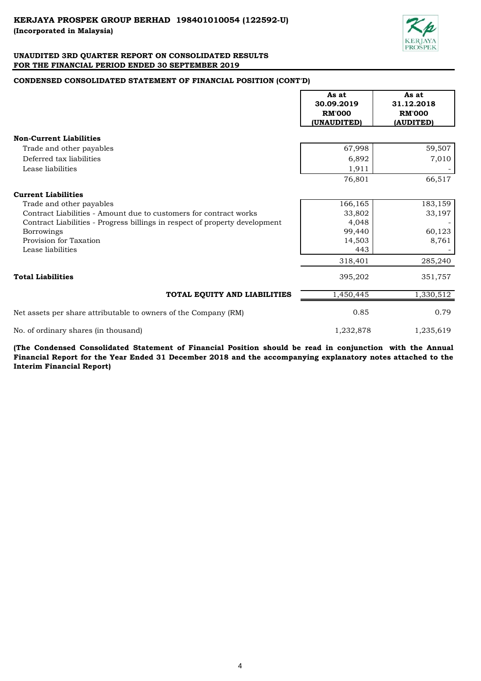

# **CONDENSED CONSOLIDATED STATEMENT OF FINANCIAL POSITION (CONT'D)**

|                                                                             | As at<br>30.09.2019<br><b>RM'000</b><br>(UNAUDITED) | As at<br>31.12.2018<br><b>RM'000</b><br>(AUDITED) |
|-----------------------------------------------------------------------------|-----------------------------------------------------|---------------------------------------------------|
| <b>Non-Current Liabilities</b>                                              |                                                     |                                                   |
| Trade and other payables                                                    | 67,998                                              | 59,507                                            |
| Deferred tax liabilities                                                    | 6,892                                               | 7,010                                             |
| Lease liabilities                                                           | 1,911                                               |                                                   |
|                                                                             | 76,801                                              | 66,517                                            |
| <b>Current Liabilities</b>                                                  |                                                     |                                                   |
| Trade and other payables                                                    | 166,165                                             | 183,159                                           |
| Contract Liabilities - Amount due to customers for contract works           | 33,802                                              | 33,197                                            |
| Contract Liabilities - Progress billings in respect of property development | 4,048                                               |                                                   |
| <b>Borrowings</b>                                                           | 99,440                                              | 60,123                                            |
| Provision for Taxation                                                      | 14,503                                              | 8,761                                             |
| Lease liabilities                                                           | 443                                                 |                                                   |
|                                                                             | 318,401                                             | 285,240                                           |
| <b>Total Liabilities</b>                                                    | 395,202                                             | 351,757                                           |
| TOTAL EQUITY AND LIABILITIES                                                | 1,450,445                                           | 1,330,512                                         |
| Net assets per share attributable to owners of the Company (RM)             | 0.85                                                | 0.79                                              |
| No. of ordinary shares (in thousand)                                        | 1,232,878                                           | 1,235,619                                         |

**(The Condensed Consolidated Statement of Financial Position should be read in conjunction with the Annual** Financial Report for the Year Ended 31 December 2018 and the accompanying explanatory notes attached to the **Interim Financial Report)**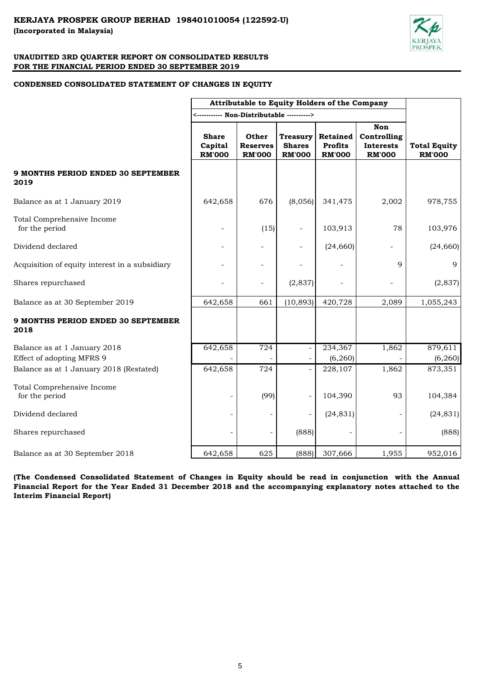

## **CONDENSED CONSOLIDATED STATEMENT OF CHANGES IN EQUITY**

|                                                   |                                          | Attributable to Equity Holders of the Company    |                                                   |                                                    |                                                         |                                      |
|---------------------------------------------------|------------------------------------------|--------------------------------------------------|---------------------------------------------------|----------------------------------------------------|---------------------------------------------------------|--------------------------------------|
|                                                   |                                          |                                                  |                                                   |                                                    |                                                         |                                      |
|                                                   | <b>Share</b><br>Capital<br><b>RM'000</b> | <b>Other</b><br><b>Reserves</b><br><b>RM'000</b> | <b>Treasury</b><br><b>Shares</b><br><b>RM'000</b> | <b>Retained</b><br><b>Profits</b><br><b>RM'000</b> | Non<br>Controlling<br><b>Interests</b><br><b>RM'000</b> | <b>Total Equity</b><br><b>RM'000</b> |
| <b>9 MONTHS PERIOD ENDED 30 SEPTEMBER</b><br>2019 |                                          |                                                  |                                                   |                                                    |                                                         |                                      |
| Balance as at 1 January 2019                      | 642,658                                  | 676                                              | (8,056)                                           | 341,475                                            | 2,002                                                   | 978,755                              |
| Total Comprehensive Income<br>for the period      |                                          | (15)                                             |                                                   | 103,913                                            | 78                                                      | 103,976                              |
| Dividend declared                                 |                                          |                                                  |                                                   | (24, 660)                                          |                                                         | (24, 660)                            |
| Acquisition of equity interest in a subsidiary    |                                          |                                                  |                                                   |                                                    | 9                                                       | 9                                    |
| Shares repurchased                                |                                          | $\overline{a}$                                   | (2,837)                                           |                                                    |                                                         | (2,837)                              |
| Balance as at 30 September 2019                   | 642,658                                  | 661                                              | (10, 893)                                         | 420,728                                            | 2,089                                                   | 1,055,243                            |
| 9 MONTHS PERIOD ENDED 30 SEPTEMBER<br>2018        |                                          |                                                  |                                                   |                                                    |                                                         |                                      |
| Balance as at 1 January 2018                      | 642,658                                  | 724                                              |                                                   | 234,367                                            | 1,862                                                   | 879,611                              |
| Effect of adopting MFRS 9                         |                                          |                                                  |                                                   | (6, 260)                                           |                                                         | (6, 260)                             |
| Balance as at 1 January 2018 (Restated)           | 642,658                                  | 724                                              |                                                   | 228,107                                            | 1,862                                                   | 873,351                              |
| Total Comprehensive Income<br>for the period      |                                          | (99)                                             |                                                   | 104,390                                            | 93                                                      | 104,384                              |
| Dividend declared                                 | -                                        |                                                  |                                                   | (24, 831)                                          |                                                         | (24, 831)                            |
| Shares repurchased                                |                                          |                                                  | (888)                                             |                                                    |                                                         | (888)                                |
| Balance as at 30 September 2018                   | 642,658                                  | 625                                              | (888)                                             | 307,666                                            | 1,955                                                   | 952,016                              |

**(The Condensed Consolidated Statement of Changes in Equity should be read in conjunction with the Annual** Financial Report for the Year Ended 31 December 2018 and the accompanying explanatory notes attached to the **Interim Financial Report)**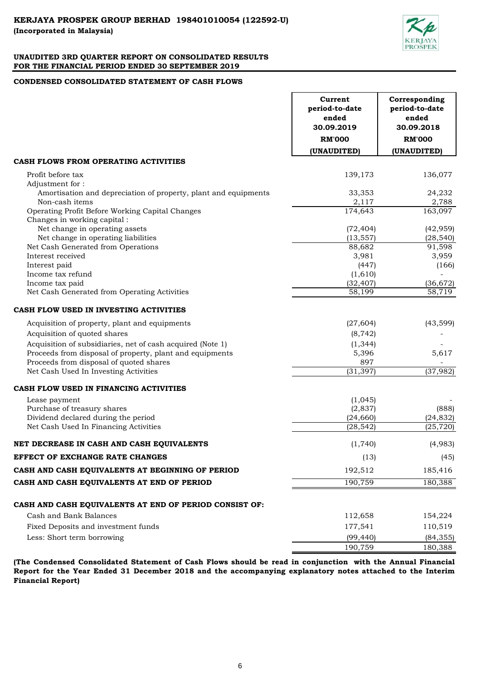

## **CONDENSED CONSOLIDATED STATEMENT OF CASH FLOWS**

|                                                                 | Current<br>period-to-date<br>ended<br>30.09.2019<br><b>RM'000</b> | Corresponding<br>period-to-date<br>ended<br>30.09.2018<br><b>RM'000</b> |
|-----------------------------------------------------------------|-------------------------------------------------------------------|-------------------------------------------------------------------------|
|                                                                 | (UNAUDITED)                                                       | (UNAUDITED)                                                             |
| CASH FLOWS FROM OPERATING ACTIVITIES                            |                                                                   |                                                                         |
| Profit before tax                                               | 139,173                                                           | 136,077                                                                 |
| Adjustment for:                                                 |                                                                   |                                                                         |
| Amortisation and depreciation of property, plant and equipments | 33,353                                                            | 24,232                                                                  |
| Non-cash items                                                  | 2.117                                                             | 2,788                                                                   |
| Operating Profit Before Working Capital Changes                 | 174,643                                                           | 163,097                                                                 |
| Changes in working capital:<br>Net change in operating assets   | (72, 404)                                                         | (42, 959)                                                               |
| Net change in operating liabilities                             | (13, 557)                                                         | (28, 540)                                                               |
| Net Cash Generated from Operations                              | 88,682                                                            | 91,598                                                                  |
| Interest received                                               | 3,981                                                             | 3,959                                                                   |
| Interest paid                                                   | (447)                                                             | (166)                                                                   |
| Income tax refund                                               | (1,610)                                                           |                                                                         |
| Income tax paid                                                 | (32, 407)                                                         | (36, 672)                                                               |
| Net Cash Generated from Operating Activities                    | 58,199                                                            | 58,719                                                                  |
| CASH FLOW USED IN INVESTING ACTIVITIES                          |                                                                   |                                                                         |
| Acquisition of property, plant and equipments                   | (27, 604)                                                         | (43, 599)                                                               |
| Acquisition of quoted shares                                    | (8, 742)                                                          |                                                                         |
| Acquisition of subsidiaries, net of cash acquired (Note 1)      | (1, 344)                                                          |                                                                         |
| Proceeds from disposal of property, plant and equipments        | 5,396                                                             | 5,617                                                                   |
| Proceeds from disposal of quoted shares                         | 897                                                               |                                                                         |
| Net Cash Used In Investing Activities                           | (31, 397)                                                         | (37, 982)                                                               |
| CASH FLOW USED IN FINANCING ACTIVITIES                          |                                                                   |                                                                         |
| Lease payment                                                   | (1,045)                                                           |                                                                         |
| Purchase of treasury shares                                     | (2,837)                                                           | (888)                                                                   |
| Dividend declared during the period                             | (24, 660)                                                         | (24, 832)                                                               |
| Net Cash Used In Financing Activities                           | (28, 542)                                                         | (25, 720)                                                               |
| NET DECREASE IN CASH AND CASH EQUIVALENTS                       | (1,740)                                                           | (4,983)                                                                 |
| EFFECT OF EXCHANGE RATE CHANGES                                 | (13)                                                              | (45)                                                                    |
| CASH AND CASH EQUIVALENTS AT BEGINNING OF PERIOD                | 192,512                                                           | 185,416                                                                 |
| CASH AND CASH EQUIVALENTS AT END OF PERIOD                      | 190,759                                                           | 180,388                                                                 |
| CASH AND CASH EQUIVALENTS AT END OF PERIOD CONSIST OF:          |                                                                   |                                                                         |
| Cash and Bank Balances                                          | 112,658                                                           | 154,224                                                                 |
| Fixed Deposits and investment funds                             | 177,541                                                           | 110,519                                                                 |
| Less: Short term borrowing                                      | (99, 440)                                                         | (84, 355)                                                               |
|                                                                 | 190,759                                                           | 180,388                                                                 |
|                                                                 |                                                                   |                                                                         |

**(The Condensed Consolidated Statement of Cash Flows should be read in conjunction with the Annual Financial Report for the Year Ended 31 December 2018 and the accompanying explanatory notes attached to the Interim Financial Report)**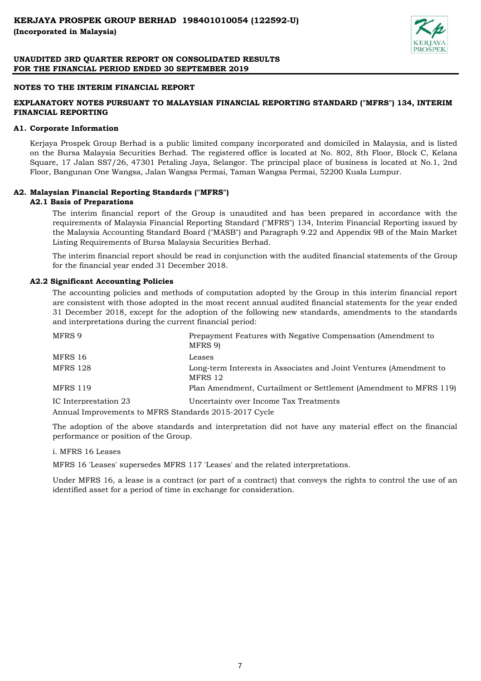

## **NOTES TO THE INTERIM FINANCIAL REPORT**

# **EXPLANATORY NOTES PURSUANT TO MALAYSIAN FINANCIAL REPORTING STANDARD ("MFRS") 134, INTERIM FINANCIAL REPORTING**

### **A1. Corporate Information**

Kerjaya Prospek Group Berhad is a public limited company incorporated and domiciled in Malaysia, and is listed on the Bursa Malaysia Securities Berhad. The registered office is located at No. 802, 8th Floor, Block C, Kelana Square, 17 Jalan SS7/26, 47301 Petaling Jaya, Selangor. The principal place of business is located at No.1, 2nd Floor, Bangunan One Wangsa, Jalan Wangsa Permai, Taman Wangsa Permai, 52200 Kuala Lumpur.

## **A2. Malaysian Financial Reporting Standards ("MFRS")**

## **A2.1 Basis of Preparations**

The interim financial report of the Group is unaudited and has been prepared in accordance with the requirements of Malaysia Financial Reporting Standard ("MFRS") 134, Interim Financial Reporting issued by the Malaysia Accounting Standard Board ("MASB") and Paragraph 9.22 and Appendix 9B of the Main Market Listing Requirements of Bursa Malaysia Securities Berhad.

The interim financial report should be read in conjunction with the audited financial statements of the Group for the financial year ended 31 December 2018.

## **A2.2 Significant Accounting Policies**

The accounting policies and methods of computation adopted by the Group in this interim financial report are consistent with those adopted in the most recent annual audited financial statements for the year ended 31 December 2018, except for the adoption of the following new standards, amendments to the standards and interpretations during the current financial period:

| MFRS 9                                                | Prepayment Features with Negative Compensation (Amendment to<br>MFRS 9)       |
|-------------------------------------------------------|-------------------------------------------------------------------------------|
| MFRS 16                                               | Leases                                                                        |
| <b>MFRS 128</b>                                       | Long-term Interests in Associates and Joint Ventures (Amendment to<br>MFRS 12 |
| <b>MFRS 119</b>                                       | Plan Amendment, Curtailment or Settlement (Amendment to MFRS 119)             |
| IC Interprestation 23                                 | Uncertainty over Income Tax Treatments                                        |
| Annual Improvements to MFRS Standards 2015-2017 Cycle |                                                                               |

The adoption of the above standards and interpretation did not have any material effect on the financial performance or position of the Group.

#### i. MFRS 16 Leases

MFRS 16 'Leases' supersedes MFRS 117 'Leases' and the related interpretations.

Under MFRS 16, a lease is a contract (or part of a contract) that conveys the rights to control the use of an identified asset for a period of time in exchange for consideration.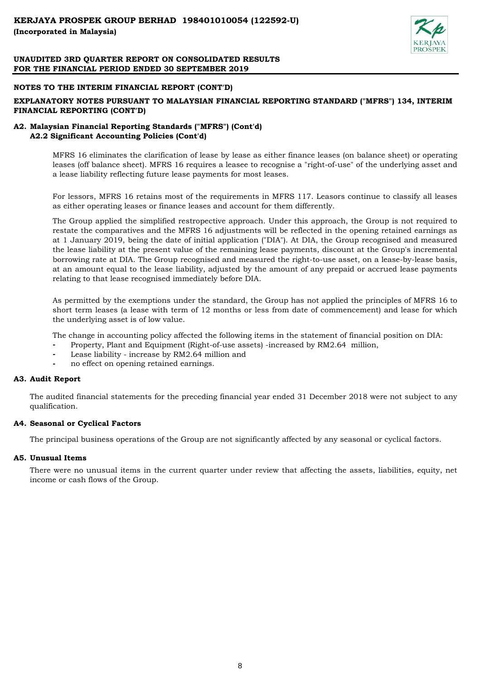

## **NOTES TO THE INTERIM FINANCIAL REPORT (CONT'D)**

# **EXPLANATORY NOTES PURSUANT TO MALAYSIAN FINANCIAL REPORTING STANDARD ("MFRS") 134, INTERIM FINANCIAL REPORTING (CONT'D)**

## **A2. Malaysian Financial Reporting Standards ("MFRS") (Cont'd) A2.2 Significant Accounting Policies (Cont'd)**

MFRS 16 eliminates the clarification of lease by lease as either finance leases (on balance sheet) or operating leases (off balance sheet). MFRS 16 requires a leasee to recognise a "right-of-use" of the underlying asset and a lease liability reflecting future lease payments for most leases.

For lessors, MFRS 16 retains most of the requirements in MFRS 117. Leasors continue to classify all leases as either operating leases or finance leases and account for them differently.

The Group applied the simplified restropective approach. Under this approach, the Group is not required to restate the comparatives and the MFRS 16 adjustments will be reflected in the opening retained earnings as at 1 January 2019, being the date of initial application ("DIA"). At DIA, the Group recognised and measured the lease liability at the present value of the remaining lease payments, discount at the Group's incremental borrowing rate at DIA. The Group recognised and measured the right-to-use asset, on a lease-by-lease basis, at an amount equal to the lease liability, adjusted by the amount of any prepaid or accrued lease payments relating to that lease recognised immediately before DIA.

As permitted by the exemptions under the standard, the Group has not applied the principles of MFRS 16 to short term leases (a lease with term of 12 months or less from date of commencement) and lease for which the underlying asset is of low value.

The change in accounting policy affected the following items in the statement of financial position on DIA:

- **-** Property, Plant and Equipment (Right-of-use assets) -increased by RM2.64 million,
- **-** Lease liability increase by RM2.64 million and
- **-** no effect on opening retained earnings.

## **A3. Audit Report**

The audited financial statements for the preceding financial year ended 31 December 2018 were not subject to any qualification.

# **A4. Seasonal or Cyclical Factors**

The principal business operations of the Group are not significantly affected by any seasonal or cyclical factors.

# **A5. Unusual Items**

There were no unusual items in the current quarter under review that affecting the assets, liabilities, equity, net income or cash flows of the Group.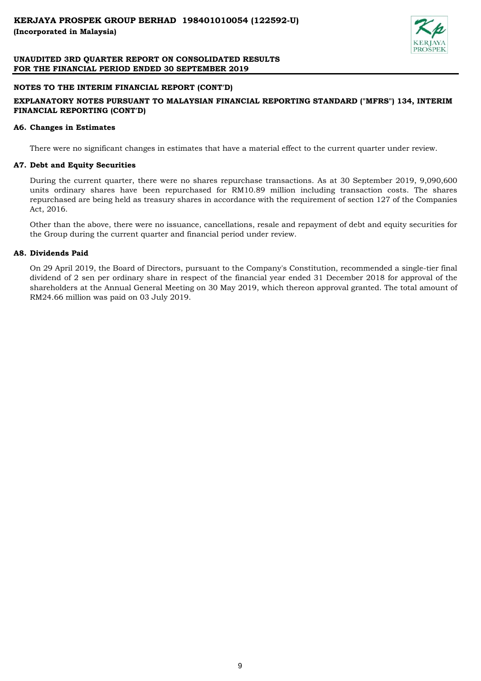

## **NOTES TO THE INTERIM FINANCIAL REPORT (CONT'D)**

# **EXPLANATORY NOTES PURSUANT TO MALAYSIAN FINANCIAL REPORTING STANDARD ("MFRS") 134, INTERIM FINANCIAL REPORTING (CONT'D)**

## **A6. Changes in Estimates**

There were no significant changes in estimates that have a material effect to the current quarter under review.

## **A7. Debt and Equity Securities**

During the current quarter, there were no shares repurchase transactions. As at 30 September 2019, 9,090,600 units ordinary shares have been repurchased for RM10.89 million including transaction costs. The shares repurchased are being held as treasury shares in accordance with the requirement of section 127 of the Companies Act, 2016.

Other than the above, there were no issuance, cancellations, resale and repayment of debt and equity securities for the Group during the current quarter and financial period under review.

## **A8. Dividends Paid**

On 29 April 2019, the Board of Directors, pursuant to the Company's Constitution, recommended a single-tier final dividend of 2 sen per ordinary share in respect of the financial year ended 31 December 2018 for approval of the shareholders at the Annual General Meeting on 30 May 2019, which thereon approval granted. The total amount of RM24.66 million was paid on 03 July 2019.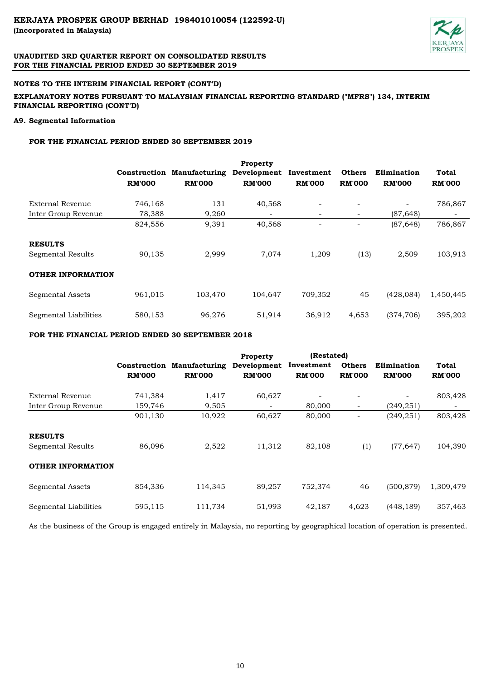

## **NOTES TO THE INTERIM FINANCIAL REPORT (CONT'D)**

## **EXPLANATORY NOTES PURSUANT TO MALAYSIAN FINANCIAL REPORTING STANDARD ("MFRS") 134, INTERIM FINANCIAL REPORTING (CONT'D)**

## **A9. Segmental Information**

# **FOR THE FINANCIAL PERIOD ENDED 30 SEPTEMBER 2019**

|                          |               |                      | <b>Property</b> |                          |                          |               |               |
|--------------------------|---------------|----------------------|-----------------|--------------------------|--------------------------|---------------|---------------|
|                          | Construction  | <b>Manufacturing</b> | Development     | Investment               | <b>Others</b>            | Elimination   | Total         |
|                          | <b>RM'000</b> | <b>RM'000</b>        | <b>RM'000</b>   | <b>RM'000</b>            | <b>RM'000</b>            | <b>RM'000</b> | <b>RM'000</b> |
| External Revenue         | 746,168       | 131                  | 40,568          |                          |                          |               | 786,867       |
| Inter Group Revenue      | 78,388        | 9,260                |                 | ۰.                       | $\overline{\phantom{a}}$ | (87, 648)     |               |
|                          | 824,556       | 9,391                | 40,568          | $\overline{\phantom{a}}$ | -                        | (87, 648)     | 786,867       |
| <b>RESULTS</b>           |               |                      |                 |                          |                          |               |               |
| Segmental Results        | 90,135        | 2,999                | 7,074           | 1,209                    | (13)                     | 2,509         | 103,913       |
| <b>OTHER INFORMATION</b> |               |                      |                 |                          |                          |               |               |
| Segmental Assets         | 961,015       | 103,470              | 104,647         | 709,352                  | 45                       | (428, 084)    | 1,450,445     |
| Segmental Liabilities    | 580,153       | 96,276               | 51,914          | 36,912                   | 4,653                    | (374, 706)    | 395,202       |

#### **FOR THE FINANCIAL PERIOD ENDED 30 SEPTEMBER 2018**

|                          |               |                                   | <b>Property</b> | (Restated)    |                          |               |               |
|--------------------------|---------------|-----------------------------------|-----------------|---------------|--------------------------|---------------|---------------|
|                          |               | <b>Construction Manufacturing</b> | Development     | Investment    | <b>Others</b>            | Elimination   | Total         |
|                          | <b>RM'000</b> | <b>RM'000</b>                     | <b>RM'000</b>   | <b>RM'000</b> | <b>RM'000</b>            | <b>RM'000</b> | <b>RM'000</b> |
| External Revenue         | 741,384       | 1,417                             | 60,627          |               |                          |               | 803,428       |
| Inter Group Revenue      | 159,746       | 9,505                             |                 | 80,000        | $\overline{\phantom{a}}$ | (249, 251)    |               |
|                          | 901,130       | 10,922                            | 60,627          | 80,000        |                          | (249, 251)    | 803,428       |
| <b>RESULTS</b>           |               |                                   |                 |               |                          |               |               |
| <b>Segmental Results</b> | 86,096        | 2,522                             | 11,312          | 82,108        | (1)                      | (77, 647)     | 104,390       |
| <b>OTHER INFORMATION</b> |               |                                   |                 |               |                          |               |               |
| Segmental Assets         | 854,336       | 114,345                           | 89,257          | 752,374       | 46                       | (500, 879)    | 1,309,479     |
| Segmental Liabilities    | 595,115       | 111,734                           | 51,993          | 42,187        | 4,623                    | (448, 189)    | 357,463       |

As the business of the Group is engaged entirely in Malaysia, no reporting by geographical location of operation is presented.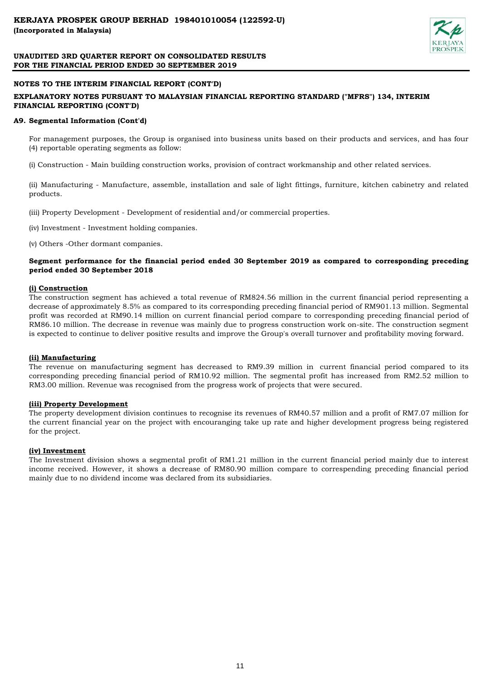

## **NOTES TO THE INTERIM FINANCIAL REPORT (CONT'D)**

## **EXPLANATORY NOTES PURSUANT TO MALAYSIAN FINANCIAL REPORTING STANDARD ("MFRS") 134, INTERIM FINANCIAL REPORTING (CONT'D)**

### **A9. Segmental Information (Cont'd)**

For management purposes, the Group is organised into business units based on their products and services, and has four (4) reportable operating segments as follow:

(i) Construction - Main building construction works, provision of contract workmanship and other related services.

(ii) Manufacturing - Manufacture, assemble, installation and sale of light fittings, furniture, kitchen cabinetry and related products.

- (iii) Property Development Development of residential and/or commercial properties.
- (iv) Investment Investment holding companies.
- (v) Others -Other dormant companies.

## **Segment performance for the financial period ended 30 September 2019 as compared to corresponding preceding period ended 30 September 2018**

#### **(i) Construction**

The construction segment has achieved a total revenue of RM824.56 million in the current financial period representing a decrease of approximately 8.5% as compared to its corresponding preceding financial period of RM901.13 million. Segmental profit was recorded at RM90.14 million on current financial period compare to corresponding preceding financial period of RM86.10 million. The decrease in revenue was mainly due to progress construction work on-site. The construction segment is expected to continue to deliver positive results and improve the Group's overall turnover and profitability moving forward.

#### **(ii) Manufacturing**

The revenue on manufacturing segment has decreased to RM9.39 million in current financial period compared to its corresponding preceding financial period of RM10.92 million. The segmental profit has increased from RM2.52 million to RM3.00 million. Revenue was recognised from the progress work of projects that were secured.

## **(iii) Property Development**

The property development division continues to recognise its revenues of RM40.57 million and a profit of RM7.07 million for the current financial year on the project with encouranging take up rate and higher development progress being registered for the project.

## **(iv) Investment**

The Investment division shows a segmental profit of RM1.21 million in the current financial period mainly due to interest income received. However, it shows a decrease of RM80.90 million compare to correspending preceding financial period mainly due to no dividend income was declared from its subsidiaries.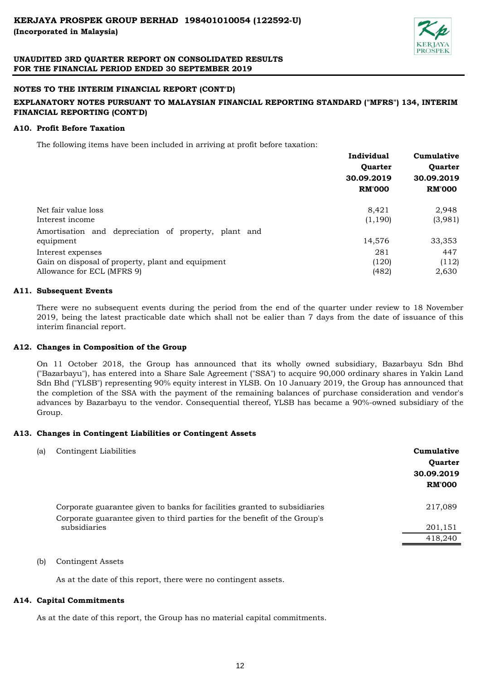

## **NOTES TO THE INTERIM FINANCIAL REPORT (CONT'D)**

# **EXPLANATORY NOTES PURSUANT TO MALAYSIAN FINANCIAL REPORTING STANDARD ("MFRS") 134, INTERIM FINANCIAL REPORTING (CONT'D)**

## **A10. Profit Before Taxation**

The following items have been included in arriving at profit before taxation:

|                                                      | Individual     | Cumulative     |
|------------------------------------------------------|----------------|----------------|
|                                                      | <b>Ouarter</b> | <b>Ouarter</b> |
|                                                      | 30.09.2019     | 30.09.2019     |
|                                                      | <b>RM'000</b>  | <b>RM'000</b>  |
| Net fair value loss                                  | 8.421          | 2,948          |
| Interest income                                      | (1, 190)       | (3,981)        |
| Amortisation and depreciation of property, plant and |                |                |
| equipment                                            | 14,576         | 33,353         |
| Interest expenses                                    | 281            | 447            |
| Gain on disposal of property, plant and equipment    | (120)          | (112)          |
| Allowance for ECL (MFRS 9)                           | (482)          | 2,630          |

## **A11. Subsequent Events**

There were no subsequent events during the period from the end of the quarter under review to 18 November 2019, being the latest practicable date which shall not be ealier than 7 days from the date of issuance of this interim financial report.

## **A12. Changes in Composition of the Group**

On 11 October 2018, the Group has announced that its wholly owned subsidiary, Bazarbayu Sdn Bhd ("Bazarbayu"), has entered into a Share Sale Agreement ("SSA") to acquire 90,000 ordinary shares in Yakin Land Sdn Bhd ("YLSB") representing 90% equity interest in YLSB. On 10 January 2019, the Group has announced that the completion of the SSA with the payment of the remaining balances of purchase consideration and vendor's advances by Bazarbayu to the vendor. Consequential thereof, YLSB has became a 90%-owned subsidiary of the Group.

## **A13. Changes in Contingent Liabilities or Contingent Assets**

| (a) | Contingent Liabilities                                                                    | Cumulative<br><b>Ouarter</b><br>30.09.2019<br><b>RM'000</b> |
|-----|-------------------------------------------------------------------------------------------|-------------------------------------------------------------|
|     | Corporate guarantee given to banks for facilities granted to subsidiaries                 | 217,089                                                     |
|     | Corporate guarantee given to third parties for the benefit of the Group's<br>subsidiaries | 201,151<br>418,240                                          |

## (b) Contingent Assets

As at the date of this report, there were no contingent assets.

## **A14. Capital Commitments**

As at the date of this report, the Group has no material capital commitments.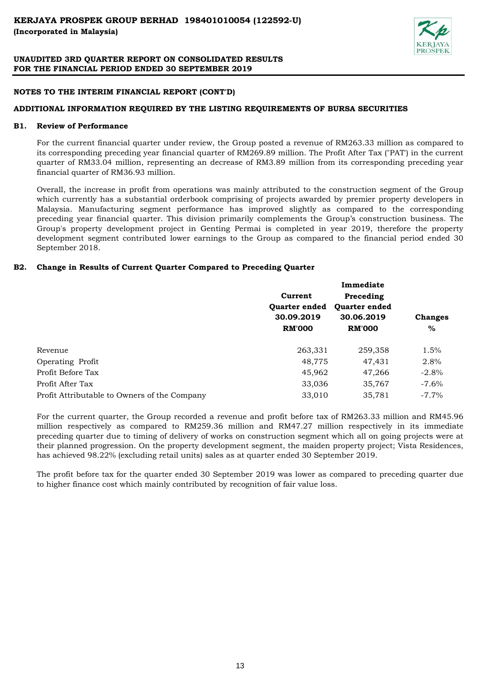

## **NOTES TO THE INTERIM FINANCIAL REPORT (CONT'D)**

## **ADDITIONAL INFORMATION REQUIRED BY THE LISTING REQUIREMENTS OF BURSA SECURITIES**

#### **B1. Review of Performance**

For the current financial quarter under review, the Group posted a revenue of RM263.33 million as compared to its corresponding preceding year financial quarter of RM269.89 million. The Profit After Tax ("PAT') in the current quarter of RM33.04 million, representing an decrease of RM3.89 million from its corresponding preceding year financial quarter of RM36.93 million.

Overall, the increase in profit from operations was mainly attributed to the construction segment of the Group which currently has a substantial orderbook comprising of projects awarded by premier property developers in Malaysia. Manufacturing segment performance has improved slightly as compared to the corresponding preceding year financial quarter. This division primarily complements the Group's construction business. The Group's property development project in Genting Permai is completed in year 2019, therefore the property development segment contributed lower earnings to the Group as compared to the financial period ended 30 September 2018.

# **B2. Change in Results of Current Quarter Compared to Preceding Quarter**

|                                              | Current              | Preceding            |                |  |
|----------------------------------------------|----------------------|----------------------|----------------|--|
|                                              | <b>Ouarter ended</b> | <b>Ouarter ended</b> |                |  |
|                                              | 30.09.2019           | 30.06.2019           | <b>Changes</b> |  |
|                                              | <b>RM'000</b>        | <b>RM'000</b>        | $\%$           |  |
| Revenue                                      | 263,331              | 259,358              | 1.5%           |  |
| Operating Profit                             | 48,775               | 47,431               | 2.8%           |  |
| Profit Before Tax                            | 45,962               | 47,266               | $-2.8%$        |  |
| Profit After Tax                             | 33,036               | 35,767               | $-7.6\%$       |  |
| Profit Attributable to Owners of the Company | 33,010               | 35,781               | $-7.7\%$       |  |

For the current quarter, the Group recorded a revenue and profit before tax of RM263.33 million and RM45.96 million respectively as compared to RM259.36 million and RM47.27 million respectively in its immediate preceding quarter due to timing of delivery of works on construction segment which all on going projects were at their planned progression. On the property development segment, the maiden property project; Vista Residences, has achieved 98.22% (excluding retail units) sales as at quarter ended 30 September 2019.

The profit before tax for the quarter ended 30 September 2019 was lower as compared to preceding quarter due to higher finance cost which mainly contributed by recognition of fair value loss.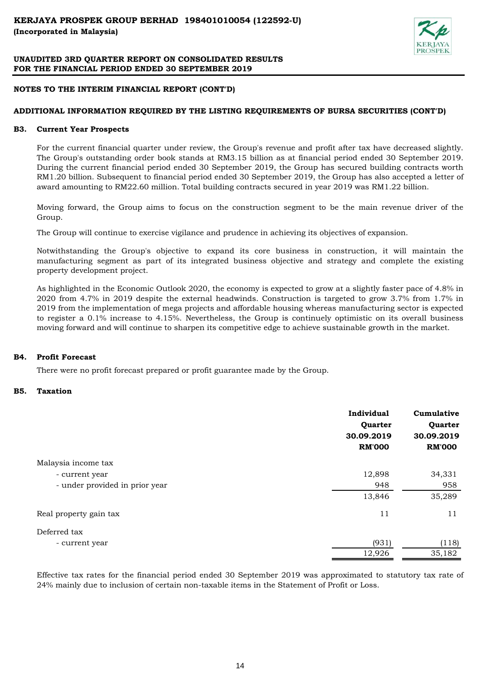

# **NOTES TO THE INTERIM FINANCIAL REPORT (CONT'D)**

# **ADDITIONAL INFORMATION REQUIRED BY THE LISTING REQUIREMENTS OF BURSA SECURITIES (CONT'D)**

#### **B3. Current Year Prospects**

For the current financial quarter under review, the Group's revenue and profit after tax have decreased slightly. The Group's outstanding order book stands at RM3.15 billion as at financial period ended 30 September 2019. During the current financial period ended 30 September 2019, the Group has secured building contracts worth RM1.20 billion. Subsequent to financial period ended 30 September 2019, the Group has also accepted a letter of award amounting to RM22.60 million. Total building contracts secured in year 2019 was RM1.22 billion.

Moving forward, the Group aims to focus on the construction segment to be the main revenue driver of the Group.

The Group will continue to exercise vigilance and prudence in achieving its objectives of expansion.

Notwithstanding the Group's objective to expand its core business in construction, it will maintain the manufacturing segment as part of its integrated business objective and strategy and complete the existing property development project.

As highlighted in the Economic Outlook 2020, the economy is expected to grow at a slightly faster pace of 4.8% in 2020 from 4.7% in 2019 despite the external headwinds. Construction is targeted to grow 3.7% from 1.7% in 2019 from the implementation of mega projects and affordable housing whereas manufacturing sector is expected to register a 0.1% increase to 4.15%. Nevertheless, the Group is continuely optimistic on its overall business moving forward and will continue to sharpen its competitive edge to achieve sustainable growth in the market.

#### **B4. Profit Forecast**

There were no profit forecast prepared or profit guarantee made by the Group.

#### **B5. Taxation**

|                                | Individual<br>Quarter<br>30.09.2019<br><b>RM'000</b> | Cumulative<br>Quarter<br>30.09.2019<br><b>RM'000</b> |
|--------------------------------|------------------------------------------------------|------------------------------------------------------|
| Malaysia income tax            |                                                      |                                                      |
| - current year                 | 12,898                                               | 34,331                                               |
| - under provided in prior year | 948                                                  | 958                                                  |
|                                | 13,846                                               | 35,289                                               |
| Real property gain tax         | 11                                                   | 11                                                   |
| Deferred tax                   |                                                      |                                                      |
| - current year                 | (931)                                                | (118)                                                |
|                                | 12,926                                               | 35,182                                               |

Effective tax rates for the financial period ended 30 September 2019 was approximated to statutory tax rate of 24% mainly due to inclusion of certain non-taxable items in the Statement of Profit or Loss.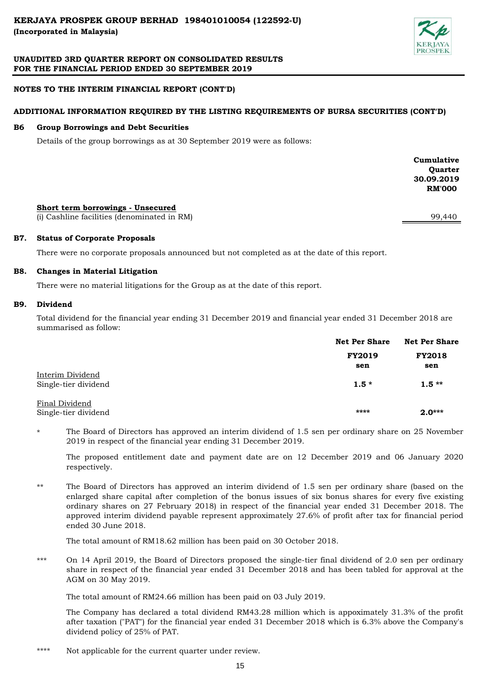

# **NOTES TO THE INTERIM FINANCIAL REPORT (CONT'D)**

# **ADDITIONAL INFORMATION REQUIRED BY THE LISTING REQUIREMENTS OF BURSA SECURITIES (CONT'D)**

#### **B6 Group Borrowings and Debt Securities**

Details of the group borrowings as at 30 September 2019 were as follows:

|                                                                                  | Cumulative<br>Quarter<br>30.09.2019<br><b>RM'000</b> |
|----------------------------------------------------------------------------------|------------------------------------------------------|
| Short term borrowings - Unsecured<br>(i) Cashline facilities (denominated in RM) | 99,440                                               |

#### **B7. Status of Corporate Proposals**

There were no corporate proposals announced but not completed as at the date of this report.

#### **B8. Changes in Material Litigation**

There were no material litigations for the Group as at the date of this report.

#### **B9. Dividend**

Total dividend for the financial year ending 31 December 2019 and financial year ended 31 December 2018 are summarised as follow:

|                                          | <b>Net Per Share</b> | <b>Net Per Share</b> |  |
|------------------------------------------|----------------------|----------------------|--|
|                                          | <b>FY2019</b>        | <b>FY2018</b>        |  |
|                                          | sen                  | sen                  |  |
| Interim Dividend<br>Single-tier dividend | $1.5*$               | $1.5**$              |  |
| Final Dividend<br>Single-tier dividend   | ****                 | $2.0***$             |  |

\* The Board of Directors has approved an interim dividend of 1.5 sen per ordinary share on 25 November 2019 in respect of the financial year ending 31 December 2019.

The proposed entitlement date and payment date are on 12 December 2019 and 06 January 2020 respectively.

\*\* The Board of Directors has approved an interim dividend of 1.5 sen per ordinary share (based on the enlarged share capital after completion of the bonus issues of six bonus shares for every five existing ordinary shares on 27 February 2018) in respect of the financial year ended 31 December 2018. The approved interim dividend payable represent approximately 27.6% of profit after tax for financial period ended 30 June 2018.

The total amount of RM18.62 million has been paid on 30 October 2018.

\*\*\* On 14 April 2019, the Board of Directors proposed the single-tier final dividend of 2.0 sen per ordinary share in respect of the financial year ended 31 December 2018 and has been tabled for approval at the AGM on 30 May 2019.

The total amount of RM24.66 million has been paid on 03 July 2019.

The Company has declared a total dividend RM43.28 million which is appoximately 31.3% of the profit after taxation ("PAT") for the financial year ended 31 December 2018 which is 6.3% above the Company's dividend policy of 25% of PAT.

\*\*\*\* Not applicable for the current quarter under review.